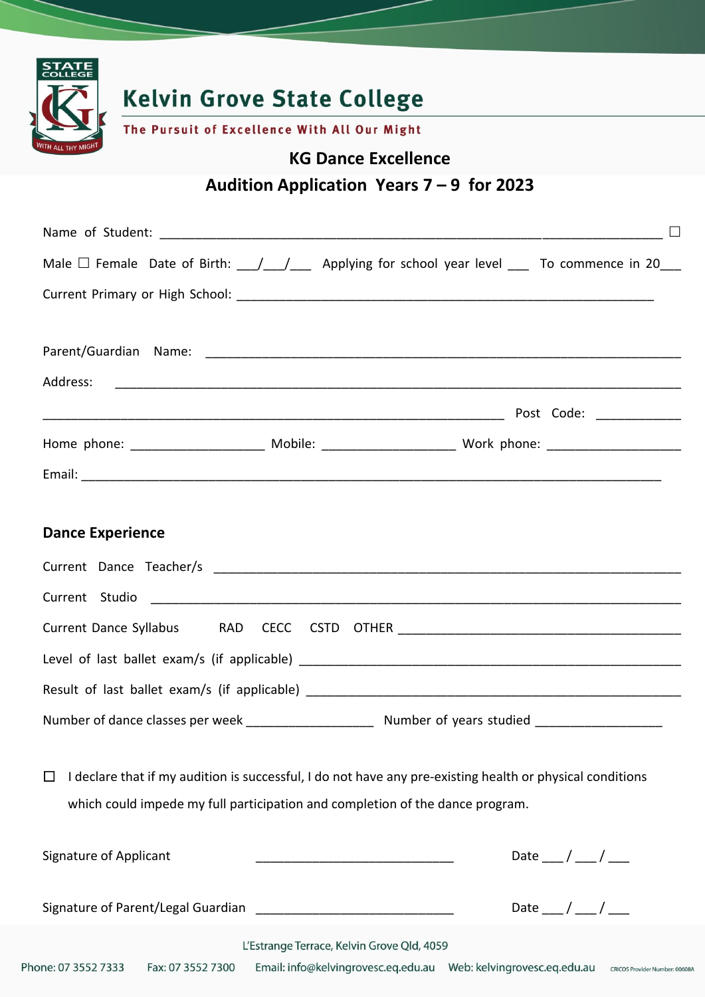

## **Dance Experience**

| Current Dance Syllabus<br>RAD                                                                    |  |  |  |  |
|--------------------------------------------------------------------------------------------------|--|--|--|--|
|                                                                                                  |  |  |  |  |
| Result of last ballet exam/s (if applicable)                                                     |  |  |  |  |
| Number of years studied ______________<br>Number of dance classes per week _____________________ |  |  |  |  |

 $\Box$  I declare that if my audition is successful, I do not have any pre-existing health or physical conditions which could impede my full participation and completion of the dance program.

| Signature of Applicant             |                                            | Date / |
|------------------------------------|--------------------------------------------|--------|
| Signature of Parent/Legal Guardian |                                            | Date   |
|                                    | L'Estrange Terrace, Kelvin Grove Qld, 4059 |        |